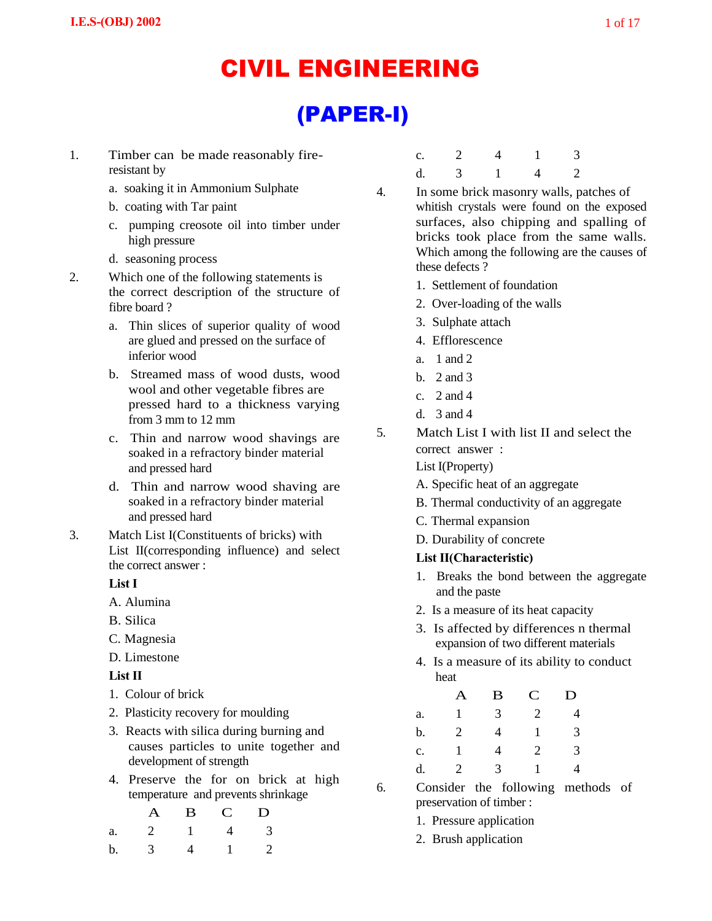# CIVIL ENGINEERING

# (PAPER-I)

- 1. Timber can be made reasonably fireresistant by
	- a. soaking it in Ammonium Sulphate
	- b. coating with Tar paint
	- c. pumping creosote oil into timber under high pressure
	- d. seasoning process
- 2. Which one of the following statements is the correct description of the structure of fibre board ?
	- a. Thin slices of superior quality of wood are glued and pressed on the surface of inferior wood
	- b. Streamed mass of wood dusts, wood wool and other vegetable fibres are pressed hard to a thickness varying from 3 mm to 12 mm
	- c. Thin and narrow wood shavings are soaked in a refractory binder material and pressed hard
	- d. Thin and narrow wood shaving are soaked in a refractory binder material and pressed hard
- 3. Match List I(Constituents of bricks) with List II(corresponding influence) and select the correct answer :

# **List I**

- A. Alumina
- B. Silica
- C. Magnesia
- D. Limestone

# **List II**

- 1. Colour of brick
- 2. Plasticity recovery for moulding
- 3. Reacts with silica during burning and causes particles to unite together and development of strength
- 4. Preserve the for on brick at high temperature and prevents shrinkage

|            | A B C D             |  |
|------------|---------------------|--|
| a. 2 1 4 3 |                     |  |
| b. $3$     | $4 \quad 1 \quad 2$ |  |

| c. |               |  | $\overline{3}$ |
|----|---------------|--|----------------|
| d. | $\mathcal{R}$ |  | $\overline{2}$ |

- 4. In some brick masonry walls, patches of whitish crystals were found on the exposed surfaces, also chipping and spalling of bricks took place from the same walls. Which among the following are the causes of these defects ?
	- 1. Settlement of foundation
	- 2. Over-loading of the walls
	- 3. Sulphate attach
	- 4. Efflorescence
	- a. 1 and 2
	- b. 2 and 3
	- c. 2 and 4
	- d. 3 and 4
- 5. Match List I with list II and select the correct answer :
	- List I(Property)
	- A. Specific heat of an aggregate
	- B. Thermal conductivity of an aggregate
	- C. Thermal expansion
	- D. Durability of concrete

## **List II(Characteristic)**

- 1. Breaks the bond between the aggregate and the paste
- 2. Is a measure of its heat capacity
- 3. Is affected by differences n thermal expansion of two different materials
- 4. Is a measure of its ability to conduct heat

|                | Α | $\bf{B}$ | $\mathbf C$  | D |
|----------------|---|----------|--------------|---|
| a.             | 1 | 3        | 2            | 4 |
| b.             | 2 | 4        | $\mathbf{1}$ | 3 |
| $\mathbf{c}$ . |   | 4        | 2            | 3 |
| d.             | 2 | 3        | 1.           | 4 |

6. Consider the following methods of preservation of timber :

- 1. Pressure application
- 2. Brush application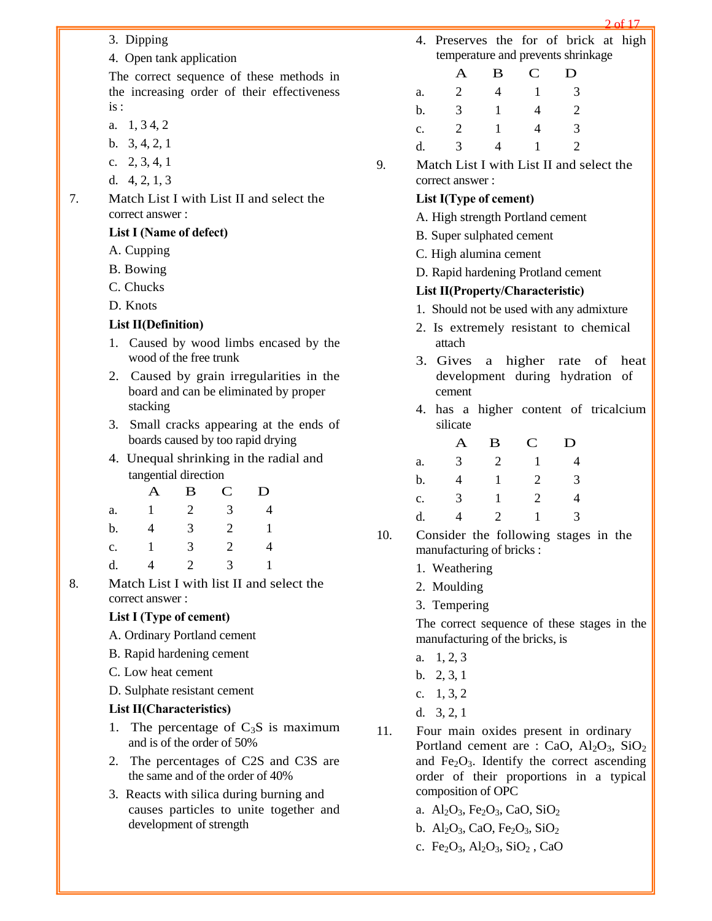- 3. Dipping
- 4. Open tank application

The correct sequence of these methods in the increasing order of their effectiveness is :

- a. 1, 3 4, 2
- b. 3, 4, 2, 1
- c. 2, 3, 4, 1
- d. 4, 2, 1, 3
- 7. Match List I with List II and select the correct answer :

#### **List I (Name of defect)**

- A. Cupping
- B. Bowing
- C. Chucks
- D. Knots

#### **List II(Definition)**

- 1. Caused by wood limbs encased by the wood of the free trunk
- 2. Caused by grain irregularities in the board and can be eliminated by proper stacking
- 3. Small cracks appearing at the ends of boards caused by too rapid drying
- 4. Unequal shrinking in the radial and tangential direction

|                | A            | B | $\mathbf C$ | D            |
|----------------|--------------|---|-------------|--------------|
| a.             | $\mathbf{1}$ | 2 | 3           | 4            |
| b.             | 4            | 3 | 2           | $\mathbf{1}$ |
| $\mathbf{c}$ . | -1           | 3 | 2           | 4            |
| d.             | 4            | 2 | 3           |              |

8. Match List I with list II and select the correct answer :

## **List I (Type of cement)**

- A. Ordinary Portland cement
- B. Rapid hardening cement
- C. Low heat cement
- D. Sulphate resistant cement

#### **List II(Characteristics)**

- 1. The percentage of  $C_3S$  is maximum and is of the order of 50%
- 2. The percentages of C2S and C3S are the same and of the order of 40%
- 3. Reacts with silica during burning and causes particles to unite together and development of strength

4. Preserves the for of brick at high temperature and prevents shrinkage

|                | Α              | B | $\mathbf C$ | D |
|----------------|----------------|---|-------------|---|
| a.             | $\overline{2}$ | 4 |             | 3 |
| b.             | 3              | 1 | 4           | 2 |
| $\mathbf{c}$ . | 2              |   | 4           | 3 |
| d.             | 3              | 4 |             | 2 |

9. Match List I with List II and select the correct answer :

#### **List I(Type of cement)**

- A. High strength Portland cement
- B. Super sulphated cement
- C. High alumina cement
- D. Rapid hardening Protland cement

#### **List II(Property/Characteristic)**

- 1. Should not be used with any admixture
- 2. Is extremely resistant to chemical attach
- 3. Gives a higher rate of heat development during hydration of cement
- 4. has a higher content of tricalcium silicate

|    | A | B | $\mathbf C$ | D |
|----|---|---|-------------|---|
| a. | 3 | 2 | 1           | 4 |
| b. | 4 | 1 | 2           | 3 |
| c. | 3 |   | 2           | 4 |
| d. | 4 | 2 | 1           | 3 |

- 10. Consider the following stages in the manufacturing of bricks :
	- 1. Weathering
	- 2. Moulding
	- 3. Tempering

The correct sequence of these stages in the manufacturing of the bricks, is

- a. 1, 2, 3
- b. 2, 3, 1
- c. 1, 3, 2
- d. 3, 2, 1
- 11. Four main oxides present in ordinary Portland cement are : CaO,  $Al_2O_3$ , SiO<sub>2</sub> and  $Fe<sub>2</sub>O<sub>3</sub>$ . Identify the correct ascending order of their proportions in a typical composition of OPC
	- a.  $Al_2O_3$ , Fe<sub>2</sub>O<sub>3</sub>, CaO, SiO<sub>2</sub>
	- b.  $\text{Al}_2\text{O}_3$ , CaO, Fe<sub>2</sub>O<sub>3</sub>, SiO<sub>2</sub>
	- c. Fe<sub>2</sub>O<sub>3</sub>, Al<sub>2</sub>O<sub>3</sub>, SiO<sub>2</sub>, CaO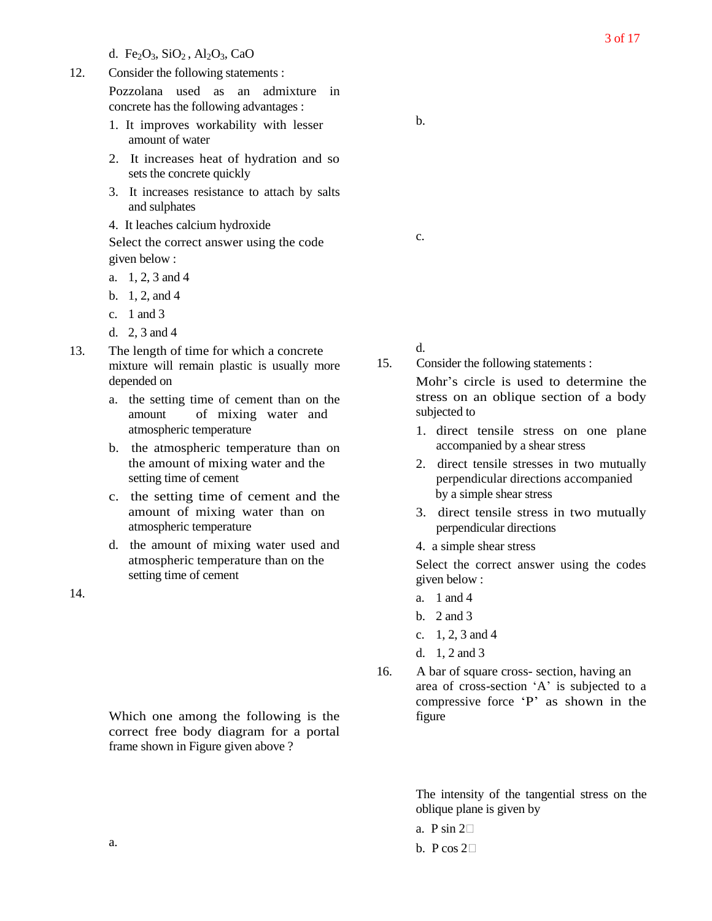d. Fe<sub>2</sub>O<sub>3</sub>, SiO<sub>2</sub>, Al<sub>2</sub>O<sub>3</sub>, CaO

12. Consider the following statements :

Pozzolana used as an admixture in concrete has the following advantages :

- 1. It improves workability with lesser amount of water
- 2. It increases heat of hydration and so sets the concrete quickly
- 3. It increases resistance to attach by salts and sulphates
- 4. It leaches calcium hydroxide

Select the correct answer using the code given below :

- a. 1, 2, 3 and 4
- b. 1, 2, and 4
- c. 1 and 3
- d. 2, 3 and 4
- 13. The length of time for which a concrete mixture will remain plastic is usually more depended on
	- a. the setting time of cement than on the amount of mixing water and atmospheric temperature
	- b. the atmospheric temperature than on the amount of mixing water and the setting time of cement
	- c. the setting time of cement and the amount of mixing water than on atmospheric temperature
	- d. the amount of mixing water used and atmospheric temperature than on the setting time of cement

14.

Which one among the following is the correct free body diagram for a portal frame shown in Figure given above ?

c.

d.

15. Consider the following statements :

Mohr's circle is used to determine the stress on an oblique section of a body subjected to

- 1. direct tensile stress on one plane accompanied by a shear stress
- 2. direct tensile stresses in two mutually perpendicular directions accompanied by a simple shear stress
- 3. direct tensile stress in two mutually perpendicular directions
- 4. a simple shear stress

Select the correct answer using the codes given below :

- a. 1 and 4
- b. 2 and 3
- c. 1, 2, 3 and 4
- d. 1, 2 and 3
- 16. A bar of square cross- section, having an area of cross-section 'A' is subjected to a compressive force 'P' as shown in the figure

The intensity of the tangential stress on the oblique plane is given by

- a. P sin  $2\Box$
- b. P cos  $2\Box$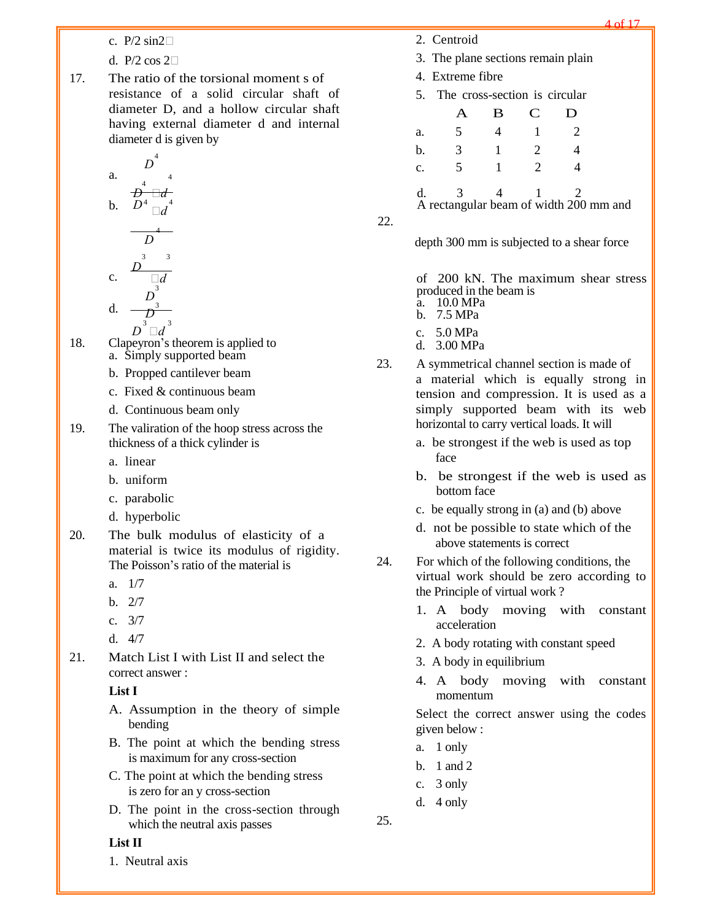c.  $P/2 \sin 2\Box$ 

d. P/2 cos  $2\Box$ 

17. The ratio of the torsional moment s of resistance of a solid circular shaft of diameter D, and a hollow circular shaft having external diameter d and internal diameter d is given by

a. 
$$
D^{4}
$$

$$
\overline{D}^{4} \square d
$$

4

3 3

$$
b. \quad D^4 \Box d^4
$$

$$
\begin{array}{c}\nD \\
\hline\nD \\
c.\n\end{array}
$$
\n
$$
\begin{array}{c}\n\frac{3}{3} \\
\hline\n\frac{3}{4} \\
\hline\n\frac{3}{4}\n\end{array}
$$

d. 
$$
\frac{D_3}{D_3}
$$

- $D^{^3}\Box d^{^3}$ 18. Clapeyron's theorem is applied to a. Simply supported beam
	- b. Propped cantilever beam
	- c. Fixed & continuous beam
	- d. Continuous beam only
- 19. The valiration of the hoop stress across the thickness of a thick cylinder is
	- a. linear
	- b. uniform
	- c. parabolic
	- d. hyperbolic
- 20. The bulk modulus of elasticity of a material is twice its modulus of rigidity. The Poisson's ratio of the material is
	- a. 1/7
	- b. 2/7
	- c. 3/7
	- d. 4/7
- 21. Match List I with List II and select the correct answer :

#### **List I**

- A. Assumption in the theory of simple bending
- B. The point at which the bending stress is maximum for any cross-section
- C. The point at which the bending stress is zero for an y cross-section
- D. The point in the cross-section through which the neutral axis passes

## **List II**

1. Neutral axis

- 2. Centroid
- 3. The plane sections remain plain
- 4. Extreme fibre
- 5. The cross-section is circular

A B C D a. 5 4 1 2 b. 3 1 2 4 c. 5 1 2 4 d. 3 4 1 2

A rectangular beam of width 200 mm and

22.

depth 300 mm is subjected to a shear force

of 200 kN. The maximum shear stress produced in the beam is a. 10.0 MPa

- b. 7.5 MPa
- c. 5.0 MPa
- d. 3.00 MPa
- 23. A symmetrical channel section is made of a material which is equally strong in tension and compression. It is used as a simply supported beam with its web horizontal to carry vertical loads. It will
	- a. be strongest if the web is used as top face
	- b. be strongest if the web is used as bottom face
	- c. be equally strong in (a) and (b) above
	- d. not be possible to state which of the above statements is correct
- 24. For which of the following conditions, the virtual work should be zero according to the Principle of virtual work ?
	- 1. A body moving with constant acceleration
	- 2. A body rotating with constant speed
	- 3. A body in equilibrium
	- 4. A body moving with constant momentum

Select the correct answer using the codes given below :

- a. 1 only
- b. 1 and 2
- c. 3 only
- d. 4 only

25.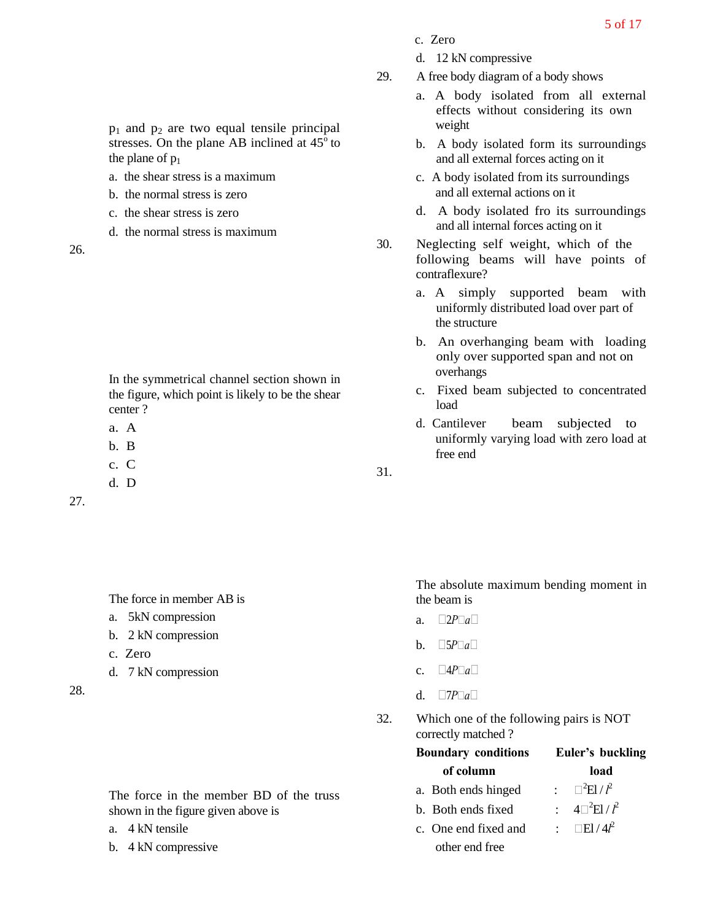- c. Zero
- d. 12 kN compressive
- 29. A free body diagram of a body shows
	- a. A body isolated from all external effects without considering its own weight
	- b. A body isolated form its surroundings and all external forces acting on it
	- c. A body isolated from its surroundings and all external actions on it
	- d. A body isolated fro its surroundings and all internal forces acting on it
- 30. Neglecting self weight, which of the following beams will have points of contraflexure?
	- a. A simply supported beam with uniformly distributed load over part of the structure
	- b. An overhanging beam with loading only over supported span and not on overhangs
	- c. Fixed beam subjected to concentrated load
	- d. Cantilever beam subjected to uniformly varying load with zero load at free end

31.

The absolute maximum bending moment in the beam is

- a.  $\Box 2P \Box a \Box$
- b.  $\Box 5P \Box a \Box$
- c.  $\Box 4P \Box a \Box$
- d.  $\Box$ *P* $\Box$ *a* $\Box$
- 32. Which one of the following pairs is NOT correctly matched ?

| <b>Boundary conditions</b> | Euler's buckling                           |
|----------------------------|--------------------------------------------|
| of column                  | load                                       |
| a. Both ends hinged        | : $\Box^2$ El/ $l^2$                       |
| b. Both ends fixed         | $4\square^2$ El / $l^2$                    |
| c. One end fixed and       | : $\Box$ El/4 <sup><math>\ell</math></sup> |
| other end free             |                                            |

 $p_1$  and  $p_2$  are two equal tensile principal stresses. On the plane AB inclined at  $45^{\circ}$  to the plane of  $p_1$ 

- a. the shear stress is a maximum
- b. the normal stress is zero
- c. the shear stress is zero
- d. the normal stress is maximum

26.

In the symmetrical channel section shown in the figure, which point is likely to be the shear center ?

a. A

- b. B
- c. C
- d. D

27.

The force in member AB is

- a. 5kN compression
- b. 2 kN compression
- c. Zero
- d. 7 kN compression

28.

The force in the member BD of the truss shown in the figure given above is

- a. 4 kN tensile
- b. 4 kN compressive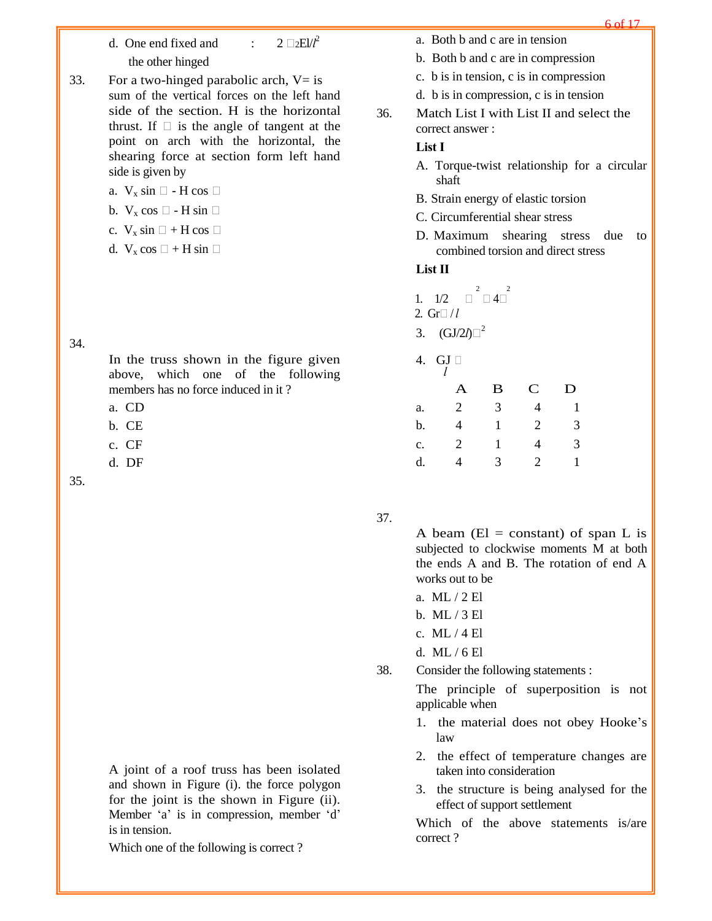- d. One end fixed and :  $2 \Box$ <sub>2</sub>EI/ $l^2$ the other hinged
- 33. For a two-hinged parabolic arch,  $V=$  is sum of the vertical forces on the left hand side of the section. H is the horizontal thrust. If  $\Box$  is the angle of tangent at the point on arch with the horizontal, the shearing force at section form left hand side is given by
	- a.  $V_x \sin \Box$  H cos  $\Box$
	- b.  $V_x \cos \Box H \sin \Box$
	- c.  $V_x \sin \Box + H \cos \Box$
	- d.  $V_x \cos \Box + H \sin \Box$

#### 34.

In the truss shown in the figure given above, which one of the following members has no force induced in it ?

- a. CD
- b. CE
- c. CF
- d. DF

35.

A joint of a roof truss has been isolated and shown in Figure (i). the force polygon for the joint is the shown in Figure (ii). Member 'a' is in compression, member 'd' is in tension.

Which one of the following is correct ?

- a. Both b and c are in tension
- b. Both b and c are in compression
- c. b is in tension, c is in compression
- d. b is in compression, c is in tension
- 36. Match List I with List II and select the correct answer :

## **List I**

- A. Torque-twist relationship for a circular shaft
- B. Strain energy of elastic torsion
- C. Circumferential shear stress
- D. Maximum shearing stress due to combined torsion and direct stress

#### **List II**

- 1.  $1/2 \quad \Box^2 \Box 4 \Box^2$
- 2.  $Gr \Box / l$
- 3.  $(GJ/2l)$ <sup>2</sup>
- 4. GJ

|    | Α              | B | $\mathbf C$ | D |
|----|----------------|---|-------------|---|
| a. | $\overline{2}$ | 3 | 4           |   |
| b. | 4              | 1 | 2           | 3 |
| c. | 2              | 1 | 4           | 3 |
| d. | 4              | 3 | 2           |   |

37.

A beam ( $El = constant$ ) of span L is subjected to clockwise moments M at both the ends A and B. The rotation of end A works out to be

- a. ML / 2 El
- b. ML / 3 El
- c. ML / 4 El
- d. ML / 6 El
- 38. Consider the following statements :

The principle of superposition is not applicable when

- 1. the material does not obey Hooke's law
- 2. the effect of temperature changes are taken into consideration
- 3. the structure is being analysed for the effect of support settlement

Which of the above statements is/are correct ?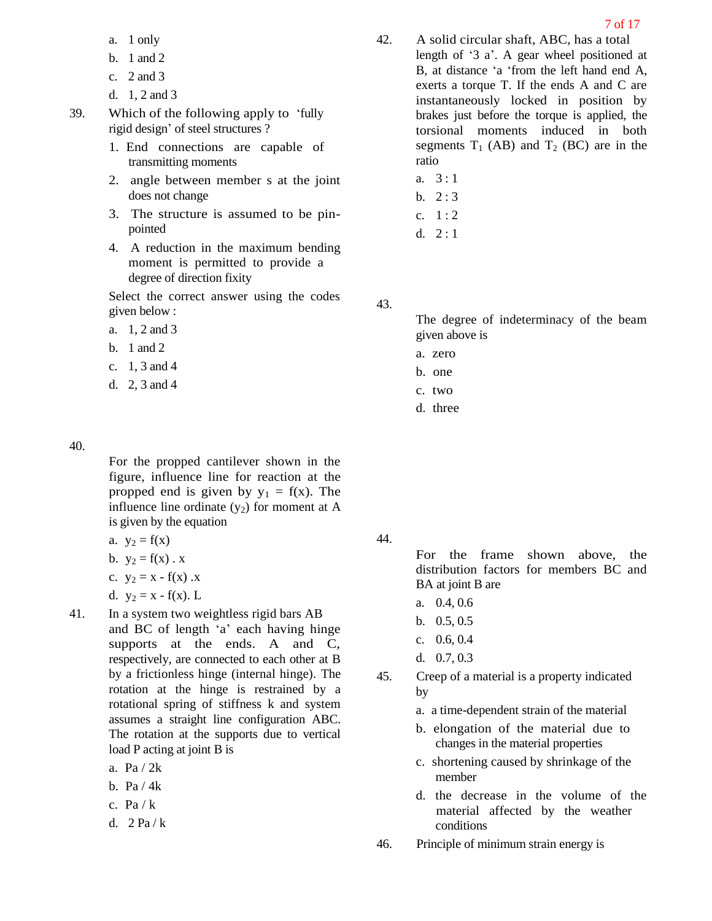- a. 1 only
- b. 1 and 2
- c. 2 and 3
- d. 1, 2 and 3
- 39. Which of the following apply to 'fully rigid design' of steel structures ?
	- 1. End connections are capable of transmitting moments
	- 2. angle between member s at the joint does not change
	- 3. The structure is assumed to be pinpointed
	- 4. A reduction in the maximum bending moment is permitted to provide a degree of direction fixity

- a. 1, 2 and 3
- b. 1 and 2
- c. 1, 3 and 4
- d. 2, 3 and 4

#### 40.

For the propped cantilever shown in the figure, influence line for reaction at the propped end is given by  $y_1 = f(x)$ . The influence line ordinate  $(y_2)$  for moment at A is given by the equation

- a.  $y_2 = f(x)$
- b.  $y_2 = f(x) . x$
- c.  $y_2 = x f(x)$ .x
- d.  $y_2 = x f(x)$ . L
- 41. In a system two weightless rigid bars AB and BC of length 'a' each having hinge supports at the ends. A and C, respectively, are connected to each other at B by a frictionless hinge (internal hinge). The rotation at the hinge is restrained by a rotational spring of stiffness k and system assumes a straight line configuration ABC. The rotation at the supports due to vertical load P acting at joint B is
	- a. Pa / 2k
	- b. Pa / 4k
	- c.  $Pa / k$
	- d.  $2 Pa/k$
- 42. A solid circular shaft, ABC, has a total length of '3 a'. A gear wheel positioned at B, at distance 'a 'from the left hand end A, exerts a torque T. If the ends A and C are instantaneously locked in position by brakes just before the torque is applied, the torsional moments induced in both segments  $T_1$  (AB) and  $T_2$  (BC) are in the ratio
	- a.  $3:1$
	- b.  $2:3$
	- c.  $1:2$
	- d.  $2:1$

43.

The degree of indeterminacy of the beam given above is

- a. zero
- b. one
- c. two
- d. three

44.

For the frame shown above, the distribution factors for members BC and BA at joint B are

- a. 0.4, 0.6
- b. 0.5, 0.5
- c. 0.6, 0.4
- d. 0.7, 0.3
- 45. Creep of a material is a property indicated by
	- a. a time-dependent strain of the material
	- b. elongation of the material due to changes in the material properties
	- c. shortening caused by shrinkage of the member
	- d. the decrease in the volume of the material affected by the weather conditions
- 46. Principle of minimum strain energy is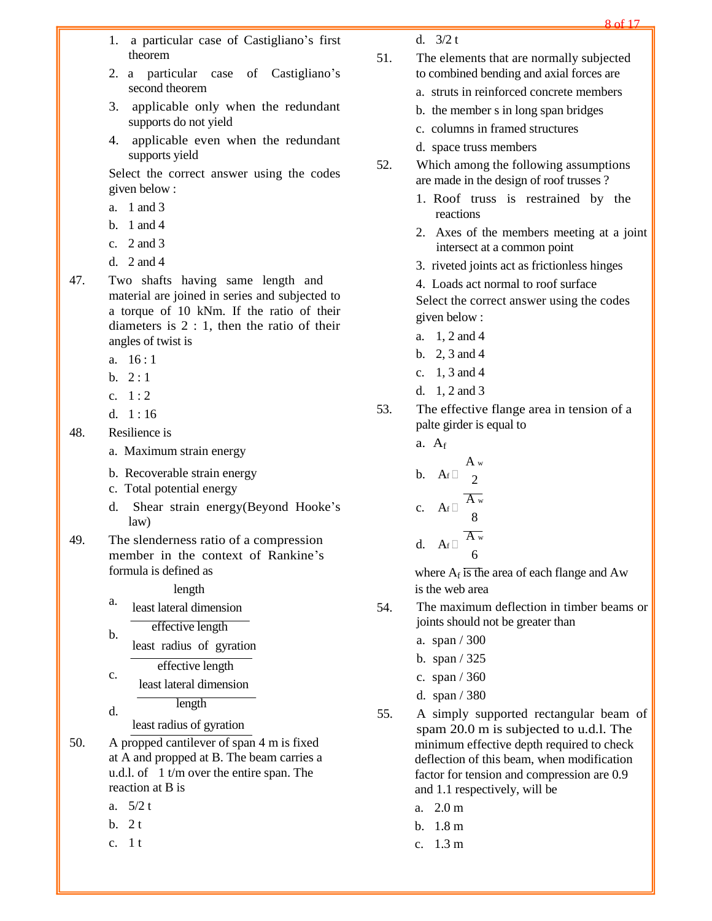- 1. a particular case of Castigliano's first theorem
- 2. a particular case of Castigliano's second theorem
- 3. applicable only when the redundant supports do not yield
- 4. applicable even when the redundant supports yield

- a. 1 and 3
- b. 1 and 4
- c. 2 and 3
- d. 2 and 4
- 47. Two shafts having same length and material are joined in series and subjected to a torque of 10 kNm. If the ratio of their diameters is 2 : 1, then the ratio of their angles of twist is
	- a. 16 : 1
	- b.  $2:1$
	- c.  $1:2$
	- d.  $1:16$

48. Resilience is

- a. Maximum strain energy
- b. Recoverable strain energy
- c. Total potential energy
- d. Shear strain energy(Beyond Hooke's law)
- 49. The slenderness ratio of a compression member in the context of Rankine's formula is defined as where  $A_f$  is the area of each flange and Aw

a. least lateral dimension 54.

effective length

b. least radius of gyration

effective length

- c. least lateral dimension length
- d.

least radius of gyration

- reaction at B is and 1.1 respectively, will be
	-
	-
	-
- 51. The elements that are normally subjected to combined bending and axial forces are
	- a. struts in reinforced concrete members
	- b. the member s in long span bridges
	- c. columns in framed structures
	- d. space truss members
- 52. Which among the following assumptions are made in the design of roof trusses ?
	- 1. Roof truss is restrained by the reactions
	- 2. Axes of the members meeting at a joint intersect at a common point
	- 3. riveted joints act as frictionless hinges
	- 4. Loads act normal to roof surface

Select the correct answer using the codes given below :

- a. 1, 2 and 4
- b. 2, 3 and 4
- c. 1, 3 and 4
- d. 1, 2 and 3
- 53. The effective flange area in tension of a palte girder is equal to
	- a.  $A_f$ A <sup>w</sup> b.  $A_f \Box$ c.  $A_f \Box$ d.  $A_f \Box$  $\overline{2}$  $\overline{A_{w}}$ 8  $\overline{A_{w}}$ 6

length is the web area

- The maximum deflection in timber beams or joints should not be greater than
	- a. span / 300
	- b. span / 325
	- c. span / 360
	- d. span / 380
- 55. A simply supported rectangular beam of spam 20.0 m is subjected to u.d.l. The 50. A propped cantilever of span 4 m is fixed minimum effective depth required to check at A and propped at B. The beam carries a deflection of this beam, when modification u.d.l. of 1 t/m over the entire span. The factor for tension and compression are 0.9
	- a.  $5/2$  t a. 2.0 m
	- b.  $2t$  b.  $1.8 \text{ m}$
	- c. 1 t c.  $1.3 \text{ m}$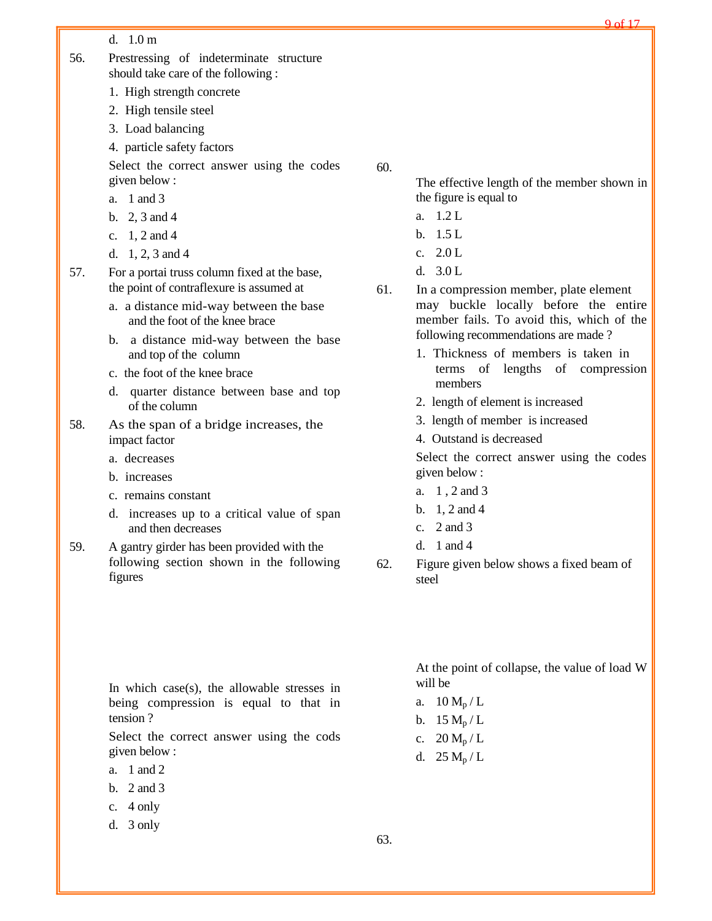d. 1.0 m

- 56. Prestressing of indeterminate structure should take care of the following :
	- 1. High strength concrete
	- 2. High tensile steel
	- 3. Load balancing
	- 4. particle safety factors

Select the correct answer using the codes given below :

- a. 1 and 3
- b. 2, 3 and 4
- c. 1, 2 and 4
- d. 1, 2, 3 and 4
- 57. For a portai truss column fixed at the base, the point of contraflexure is assumed at
	- a. a distance mid-way between the base and the foot of the knee brace
	- b. a distance mid-way between the base and top of the column
	- c. the foot of the knee brace
	- d. quarter distance between base and top of the column
- 58. As the span of a bridge increases, the impact factor
	- a. decreases
	- b. increases
	- c. remains constant
	- d. increases up to a critical value of span and then decreases
- 59. A gantry girder has been provided with the following section shown in the following figures

In which case(s), the allowable stresses in being compression is equal to that in tension ?

Select the correct answer using the cods given below :

- a. 1 and 2
- b. 2 and 3
- c. 4 only
- d. 3 only

60.

The effective length of the member shown in the figure is equal to

- a. 1.2 L
- b. 1.5 L
- c. 2.0 L
- d. 3.0 L
- 61. In a compression member, plate element may buckle locally before the entire member fails. To avoid this, which of the following recommendations are made ?
	- 1. Thickness of members is taken in terms of lengths of compression members
	- 2. length of element is increased
	- 3. length of member is increased
	- 4. Outstand is decreased

Select the correct answer using the codes given below :

- a. 1 , 2 and 3
- b. 1, 2 and 4
- c. 2 and 3
- d. 1 and 4
- 62. Figure given below shows a fixed beam of steel

At the point of collapse, the value of load W will be

- a.  $10 M_p/L$
- b.  $15 M_p/L$
- c.  $20 M_p/L$
- d.  $25 M_p/L$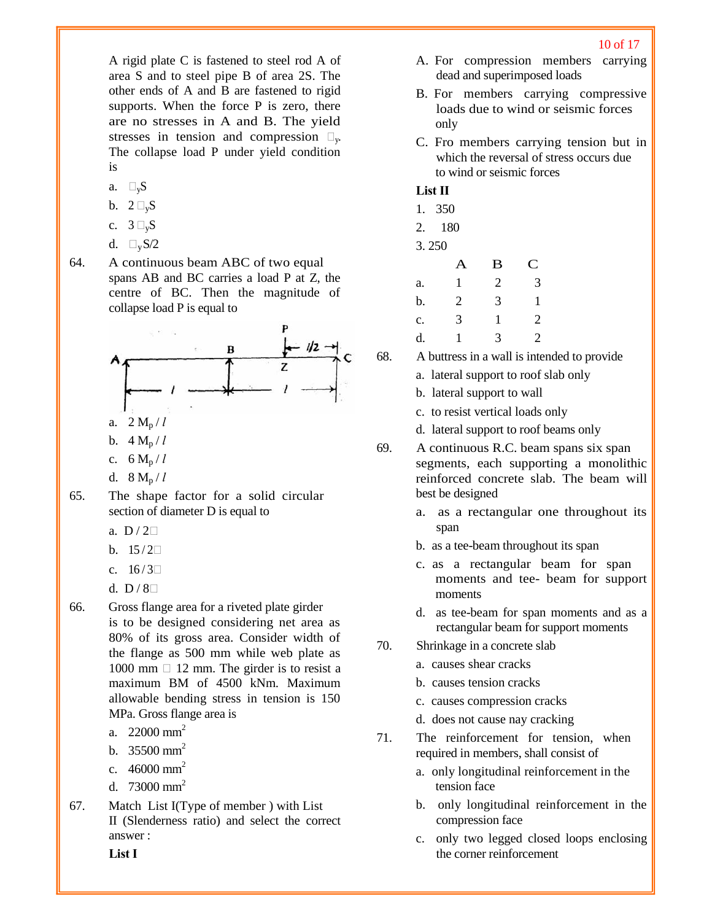A rigid plate C is fastened to steel rod A of area S and to steel pipe B of area 2S. The other ends of A and B are fastened to rigid supports. When the force P is zero, there are no stresses in A and B. The yield stresses in tension and compression  $\Box_{v}$ . The collapse load P under yield condition is

- a.  $\square_{\rm v}$ S
- b.  $2 \square_{v} S$
- c.  $3 \square_{v} S$
- d.  $\Box_{\rm v}$  S/2
- 64. A continuous beam ABC of two equal spans AB and BC carries a load P at Z, the centre of BC. Then the magnitude of collapse load P is equal to



- d.  $8 M_p / l$
- 65. The shape factor for a solid circular section of diameter D is equal to
	- a.  $D/2\square$
	- b.  $15/2\Box$
	- c.  $16/3$
	- d.  $D/8$
- 66. Gross flange area for a riveted plate girder is to be designed considering net area as 80% of its gross area. Consider width of the flange as 500 mm while web plate as 1000 mm  $\Box$  12 mm. The girder is to resist a maximum BM of 4500 kNm. Maximum allowable bending stress in tension is 150 MPa. Gross flange area is
	- a.  $22000 \text{ mm}^2$
	- b.  $35500 \text{ mm}^2$
	- c.  $46000 \text{ mm}^2$
	- d. 73000 mm<sup>2</sup>
- 67. Match List I(Type of member ) with List II (Slenderness ratio) and select the correct answer :

A. For compression members carrying dead and superimposed loads

- B. For members carrying compressive loads due to wind or seismic forces only
- C. Fro members carrying tension but in which the reversal of stress occurs due to wind or seismic forces

## **List II**

| 1. 350 |  |
|--------|--|
| 2. 180 |  |
| 3.250  |  |
|        |  |

|    | А            | B | $\mathbf C$    |
|----|--------------|---|----------------|
| a. | $\mathbf{1}$ | 2 | 3              |
| b. | 2            | 3 | 1              |
| c. | 3            | 1 | $\overline{2}$ |
| d. |              | 3 | 2              |

- 68. A buttress in a wall is intended to provide
	- a. lateral support to roof slab only
	- b. lateral support to wall
	- c. to resist vertical loads only
	- d. lateral support to roof beams only
- 69. A continuous R.C. beam spans six span segments, each supporting a monolithic reinforced concrete slab. The beam will best be designed
	- a. as a rectangular one throughout its span
	- b. as a tee-beam throughout its span
	- c. as a rectangular beam for span moments and tee- beam for support moments
	- d. as tee-beam for span moments and as a rectangular beam for support moments
- 70. Shrinkage in a concrete slab
	- a. causes shear cracks
	- b. causes tension cracks
	- c. causes compression cracks
	- d. does not cause nay cracking
- 71. The reinforcement for tension, when required in members, shall consist of
	- a. only longitudinal reinforcement in the tension face
	- b. only longitudinal reinforcement in the compression face
	- c. only two legged closed loops enclosing the corner reinforcement

**List I**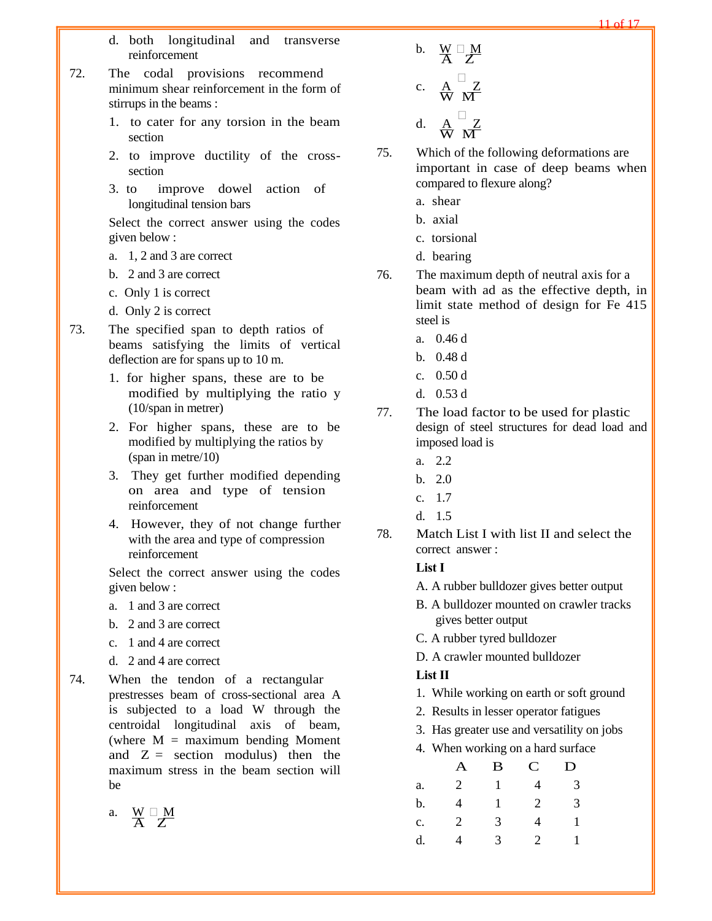- d. both longitudinal and transverse reinforcement
- 72. The codal provisions recommend minimum shear reinforcement in the form of stirrups in the beams :
	- 1. to cater for any torsion in the beam section
	- 2. to improve ductility of the crosssection
	- 3. to improve dowel action of longitudinal tension bars

- a. 1, 2 and 3 are correct
- b. 2 and 3 are correct
- c. Only 1 is correct
- d. Only 2 is correct
- 73. The specified span to depth ratios of beams satisfying the limits of vertical deflection are for spans up to 10 m.
	- 1. for higher spans, these are to be modified by multiplying the ratio y (10/span in metrer)
	- 2. For higher spans, these are to be modified by multiplying the ratios by (span in metre/10)
	- 3. They get further modified depending on area and type of tension reinforcement
	- 4. However, they of not change further with the area and type of compression reinforcement

Select the correct answer using the codes given below :

- a. 1 and 3 are correct
- b. 2 and 3 are correct
- c. 1 and 4 are correct
- d. 2 and 4 are correct
- 74. When the tendon of a rectangular prestresses beam of cross-sectional area A is subjected to a load W through the centroidal longitudinal axis of beam, (where  $M =$  maximum bending Moment and  $Z =$  section modulus) then the maximum stress in the beam section will be

$$
a. \quad \frac{W}{A} \stackrel{\square}{Z} \frac{M}{Z}
$$

b.  $\frac{W}{A} \frac{\Box M}{Z}$ c.  $\mathop{\mathrm{A}}\limits^{\mathop{\mathrm{A}}}_{\mathop{\mathrm{W}}\limits}$   $\mathop{\mathrm{M}}\limits^{\mathop{\mathrm{I}}\limits^{\mathop{\mathrm{I}}}}$ d.  $\frac{A}{W}$   $\frac{Z}{M}$ 

75. Which of the following deformations are important in case of deep beams when compared to flexure along?

- a. shear
- b. axial
- c. torsional
- d. bearing
- 76. The maximum depth of neutral axis for a beam with ad as the effective depth, in limit state method of design for Fe 415 steel is
	- a. 0.46 d
	- b. 0.48 d
	- c. 0.50 d
	- d. 0.53 d
- 77. The load factor to be used for plastic design of steel structures for dead load and imposed load is
	- a. 2.2
	- b. 2.0
	- c. 1.7
	- $d$  1.5
- 78. Match List I with list II and select the correct answer :

# **List I**

- A. A rubber bulldozer gives better output
- B. A bulldozer mounted on crawler tracks gives better output
- C. A rubber tyred bulldozer
- D. A crawler mounted bulldozer

## **List II**

- 1. While working on earth or soft ground
- 2. Results in lesser operator fatigues
- 3. Has greater use and versatility on jobs
- 4. When working on a hard surface

|    | A              | B | $\mathbf C$ | D |
|----|----------------|---|-------------|---|
| a. | $\overline{2}$ | 1 | 4           | 3 |
| b. | 4              | 1 | 2           | 3 |
| c. | 2              | 3 | 4           | 1 |
| d. | 4              | 3 | 2           |   |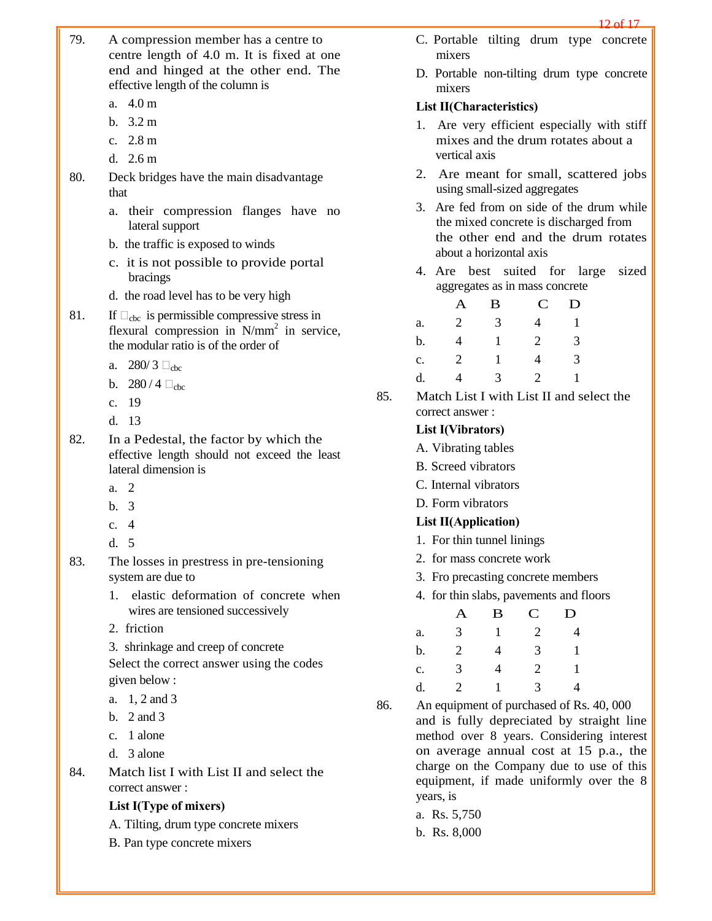- 79. A compression member has a centre to centre length of 4.0 m. It is fixed at one end and hinged at the other end. The effective length of the column is
	- a. 4.0 m
	- b. 3.2 m
	- c. 2.8 m
	- d. 2.6 m
- 80. Deck bridges have the main disadvantage that
	- a. their compression flanges have no lateral support
	- b. the traffic is exposed to winds
	- c. it is not possible to provide portal bracings
	- d. the road level has to be very high
- 81. If  $\Box_{\text{cbc}}$  is permissible compressive stress in flexural compression in  $N/mm^2$  in service, the modular ratio is of the order of
	- a.  $280/3$   $\Box$ <sub>chc</sub>
	- b.  $280/4$   $\Box_{\rm chc}$
	- c. 19
	- d. 13
- 82. In a Pedestal, the factor by which the effective length should not exceed the least lateral dimension is
	- a. 2
	- b. 3
	- c. 4
	- d. 5
- 83. The losses in prestress in pre-tensioning system are due to
	- 1. elastic deformation of concrete when wires are tensioned successively
	- 2. friction
	- 3. shrinkage and creep of concrete

- a. 1, 2 and 3
- b. 2 and 3
- c. 1 alone
- d. 3 alone
- 84. Match list I with List II and select the correct answer :

## **List I(Type of mixers)**

- A. Tilting, drum type concrete mixers
- B. Pan type concrete mixers
- C. Portable tilting drum type concrete mixers
- D. Portable non-tilting drum type concrete mixers

#### **List II(Characteristics)**

- 1. Are very efficient especially with stiff mixes and the drum rotates about a vertical axis
- 2. Are meant for small, scattered jobs using small-sized aggregates
- 3. Are fed from on side of the drum while the mixed concrete is discharged from the other end and the drum rotates about a horizontal axis
- 4. Are best suited for large sized aggregates as in mass concrete

|    | A              | B | $\mathbf C$ | D |
|----|----------------|---|-------------|---|
| a. | $\overline{2}$ | 3 | 4           | 1 |
| b. | 4              | 1 | 2           | 3 |
| c. | 2              |   | 4           | 3 |
| d. | 4              | 3 | 2           |   |

85. Match List I with List II and select the correct answer :

## **List I(Vibrators)**

- A. Vibrating tables
- B. Screed vibrators
- C. Internal vibrators
- D. Form vibrators

#### **List II(Application)**

- 1. For thin tunnel linings
- 2. for mass concrete work
- 3. Fro precasting concrete members
- 4. for thin slabs, pavements and floors

|                | A | B | $\mathbf C$ | D |
|----------------|---|---|-------------|---|
| a.             | 3 | 1 | 2           | 4 |
| b.             | 2 | 4 | 3           | 1 |
| $\mathbf{c}$ . | 3 | 4 | 2           | 1 |
| d.             | 2 | 1 | 3           | 4 |

86. An equipment of purchased of Rs. 40, 000 and is fully depreciated by straight line method over 8 years. Considering interest on average annual cost at 15 p.a., the charge on the Company due to use of this equipment, if made uniformly over the 8 years, is

- a. Rs. 5,750
- b. Rs. 8,000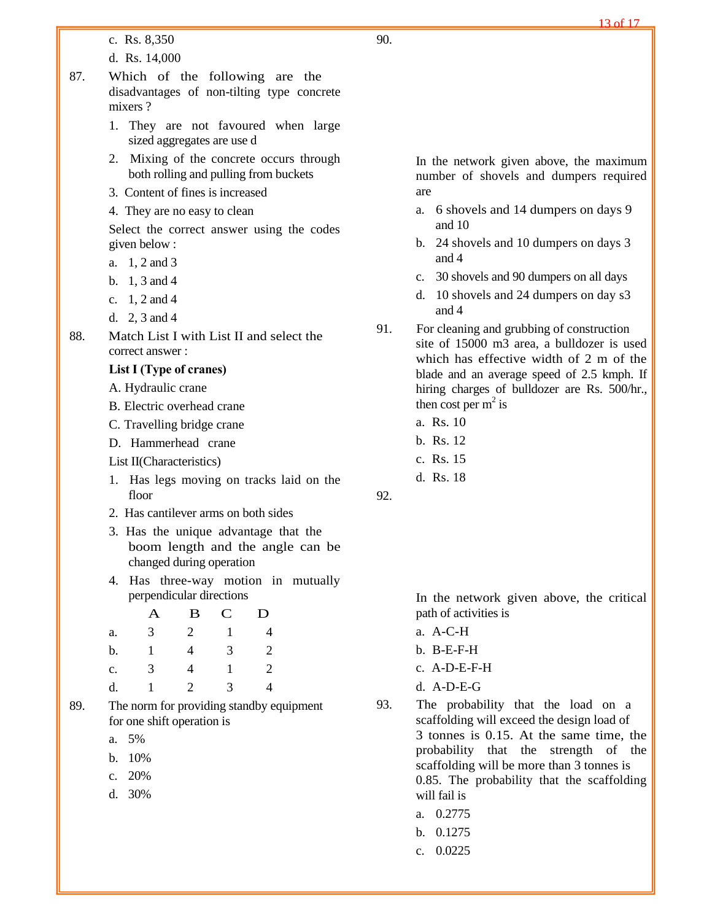c. Rs. 8,350

d. Rs. 14,000

- 87. Which of the following are the disadvantages of non-tilting type concrete mixers ?
	- 1. They are not favoured when large sized aggregates are use d
	- 2. Mixing of the concrete occurs through both rolling and pulling from buckets
	- 3. Content of fines is increased
	- 4. They are no easy to clean

Select the correct answer using the codes given below :

- a. 1, 2 and 3
- b. 1, 3 and 4
- c. 1, 2 and 4
- d. 2, 3 and 4
- 88. Match List I with List II and select the correct answer :

#### **List I (Type of cranes)**

- A. Hydraulic crane
- B. Electric overhead crane
- C. Travelling bridge crane
- D. Hammerhead crane
- List II(Characteristics)
- 1. Has legs moving on tracks laid on the floor
- 2. Has cantilever arms on both sides
- 3. Has the unique advantage that the boom length and the angle can be changed during operation
- 4. Has three-way motion in mutually perpendicular directions

|    | A | B | $\mathbf C$ | D              |
|----|---|---|-------------|----------------|
| a. | 3 | 2 |             | $\overline{4}$ |
| b. | 1 | 4 | 3           | $\overline{2}$ |
| c. | 3 | 4 |             | $\overline{2}$ |
| d. |   | 2 | 3           | 4              |

- 89. The norm for providing standby equipment for one shift operation is
	- a. 5%
	- b. 10%
	- c. 20%
	- d. 30%

In the network given above, the maximum number of shovels and dumpers required are

- a. 6 shovels and 14 dumpers on days 9 and 10
- b. 24 shovels and 10 dumpers on days 3 and 4
- c. 30 shovels and 90 dumpers on all days
- d. 10 shovels and 24 dumpers on day s3 and 4
- 91. For cleaning and grubbing of construction site of 15000 m3 area, a bulldozer is used which has effective width of 2 m of the blade and an average speed of 2.5 kmph. If hiring charges of bulldozer are Rs. 500/hr., then cost per  $m^2$  is
	- a. Rs. 10
	- b. Rs. 12
	- c. Rs. 15
	- d. Rs. 18

92.

In the network given above, the critical path of activities is

- a. A-C-H
- b. B-E-F-H
- c. A-D-E-F-H
- d. A-D-E-G
- 93. The probability that the load on a scaffolding will exceed the design load of 3 tonnes is 0.15. At the same time, the probability that the strength of the scaffolding will be more than 3 tonnes is 0.85. The probability that the scaffolding will fail is
	- a. 0.2775
	- b. 0.1275
	- c. 0.0225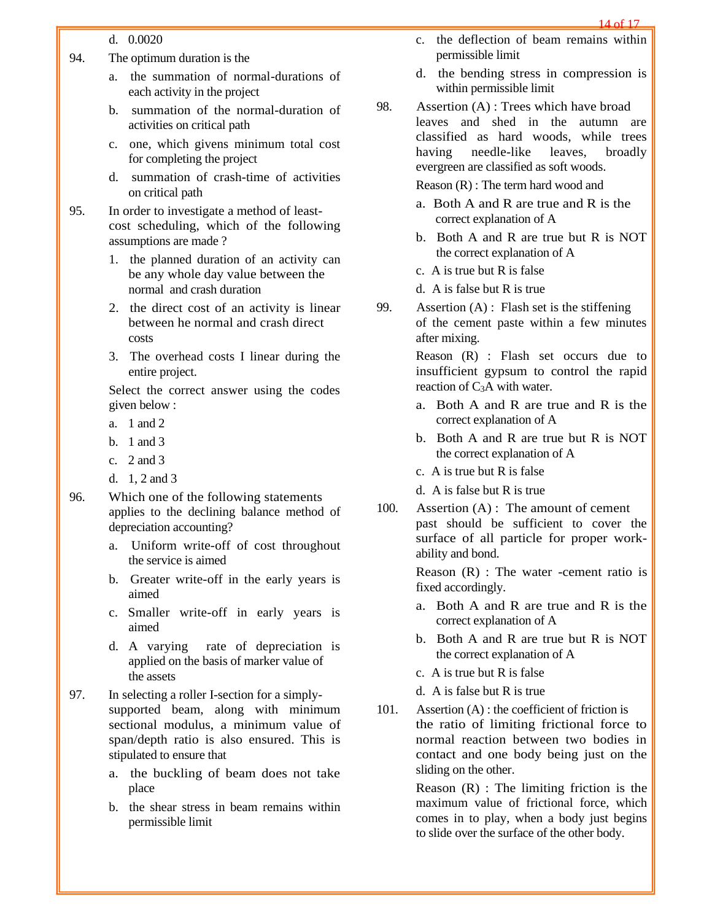14 of 17

#### d. 0.0020

- 94. The optimum duration is the
	- a. the summation of normal-durations of each activity in the project
	- b. summation of the normal-duration of activities on critical path
	- c. one, which givens minimum total cost for completing the project
	- d. summation of crash-time of activities on critical path
- 95. In order to investigate a method of leastcost scheduling, which of the following assumptions are made ?
	- 1. the planned duration of an activity can be any whole day value between the normal and crash duration
	- 2. the direct cost of an activity is linear between he normal and crash direct costs
	- 3. The overhead costs I linear during the entire project.

Select the correct answer using the codes given below :

- a. 1 and 2
- b. 1 and 3
- c. 2 and 3
- d. 1, 2 and 3
- 96. Which one of the following statements applies to the declining balance method of depreciation accounting?
	- a. Uniform write-off of cost throughout the service is aimed
	- b. Greater write-off in the early years is aimed
	- c. Smaller write-off in early years is aimed
	- d. A varying rate of depreciation is applied on the basis of marker value of the assets
- 97. In selecting a roller I-section for a simplysupported beam, along with minimum sectional modulus, a minimum value of span/depth ratio is also ensured. This is stipulated to ensure that
	- a. the buckling of beam does not take place
	- b. the shear stress in beam remains within permissible limit
- c. the deflection of beam remains within permissible limit
- d. the bending stress in compression is within permissible limit
- 98. Assertion (A) : Trees which have broad leaves and shed in the autumn are classified as hard woods, while trees having needle-like leaves, broadly evergreen are classified as soft woods.

Reason (R) : The term hard wood and

- a. Both A and R are true and R is the correct explanation of A
- b. Both A and R are true but R is NOT the correct explanation of A
- c. A is true but R is false
- d. A is false but R is true
- 99. Assertion (A) : Flash set is the stiffening of the cement paste within a few minutes after mixing.

Reason (R) : Flash set occurs due to insufficient gypsum to control the rapid reaction of  $C_3A$  with water.

- a. Both A and R are true and R is the correct explanation of A
- b. Both A and R are true but R is NOT the correct explanation of A
- c. A is true but R is false
- d. A is false but R is true
- 100. Assertion (A) : The amount of cement past should be sufficient to cover the surface of all particle for proper workability and bond.

Reason (R) : The water -cement ratio is fixed accordingly.

- a. Both A and R are true and R is the correct explanation of A
- b. Both A and R are true but R is NOT the correct explanation of A
- c. A is true but R is false
- d. A is false but R is true
- 101. Assertion (A) : the coefficient of friction is the ratio of limiting frictional force to normal reaction between two bodies in contact and one body being just on the sliding on the other.

Reason (R) : The limiting friction is the maximum value of frictional force, which comes in to play, when a body just begins to slide over the surface of the other body.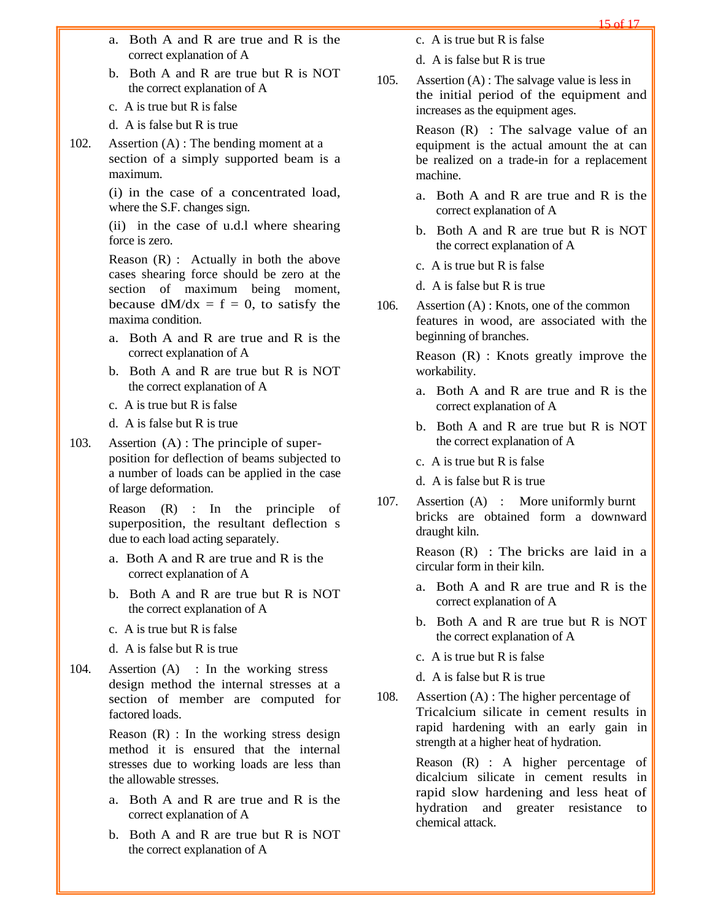- a. Both A and R are true and R is the correct explanation of A
- b. Both A and R are true but R is NOT the correct explanation of A
- c. A is true but R is false
- d. A is false but R is true
- 102. Assertion (A) : The bending moment at a section of a simply supported beam is a maximum.

(i) in the case of a concentrated load, where the S.F. changes sign.

(ii) in the case of u.d.l where shearing force is zero.

Reason (R) : Actually in both the above cases shearing force should be zero at the section of maximum being moment, because  $dM/dx = f = 0$ , to satisfy the maxima condition.

- a. Both A and R are true and R is the correct explanation of A
- b. Both A and R are true but R is NOT the correct explanation of A
- c. A is true but R is false
- d. A is false but R is true
- 103. Assertion (A) : The principle of superposition for deflection of beams subjected to a number of loads can be applied in the case of large deformation.

Reason (R) : In the principle of superposition, the resultant deflection s due to each load acting separately.

- a. Both A and R are true and R is the correct explanation of A
- b. Both A and R are true but R is NOT the correct explanation of A
- c. A is true but R is false
- d. A is false but R is true
- 104. Assertion (A) : In the working stress design method the internal stresses at a section of member are computed for factored loads.

Reason (R) : In the working stress design method it is ensured that the internal stresses due to working loads are less than the allowable stresses.

- a. Both A and R are true and R is the correct explanation of A
- b. Both A and R are true but R is NOT the correct explanation of A
- c. A is true but R is false
- d. A is false but R is true
- 105. Assertion (A) : The salvage value is less in the initial period of the equipment and increases as the equipment ages.

Reason (R) : The salvage value of an equipment is the actual amount the at can be realized on a trade-in for a replacement machine.

- a. Both A and R are true and R is the correct explanation of A
- b. Both A and R are true but R is NOT the correct explanation of A
- c. A is true but R is false
- d. A is false but R is true
- 106. Assertion (A) : Knots, one of the common features in wood, are associated with the beginning of branches.

Reason (R) : Knots greatly improve the workability.

- a. Both A and R are true and R is the correct explanation of A
- b. Both A and R are true but R is NOT the correct explanation of A
- c. A is true but R is false
- d. A is false but R is true
- 107. Assertion (A) : More uniformly burnt bricks are obtained form a downward draught kiln.

Reason (R) : The bricks are laid in a circular form in their kiln.

- a. Both A and R are true and R is the correct explanation of A
- b. Both A and R are true but R is NOT the correct explanation of A
- c. A is true but R is false
- d. A is false but R is true
- 108. Assertion (A) : The higher percentage of Tricalcium silicate in cement results in rapid hardening with an early gain in strength at a higher heat of hydration.

Reason (R) : A higher percentage of dicalcium silicate in cement results in rapid slow hardening and less heat of hydration and greater resistance to chemical attack.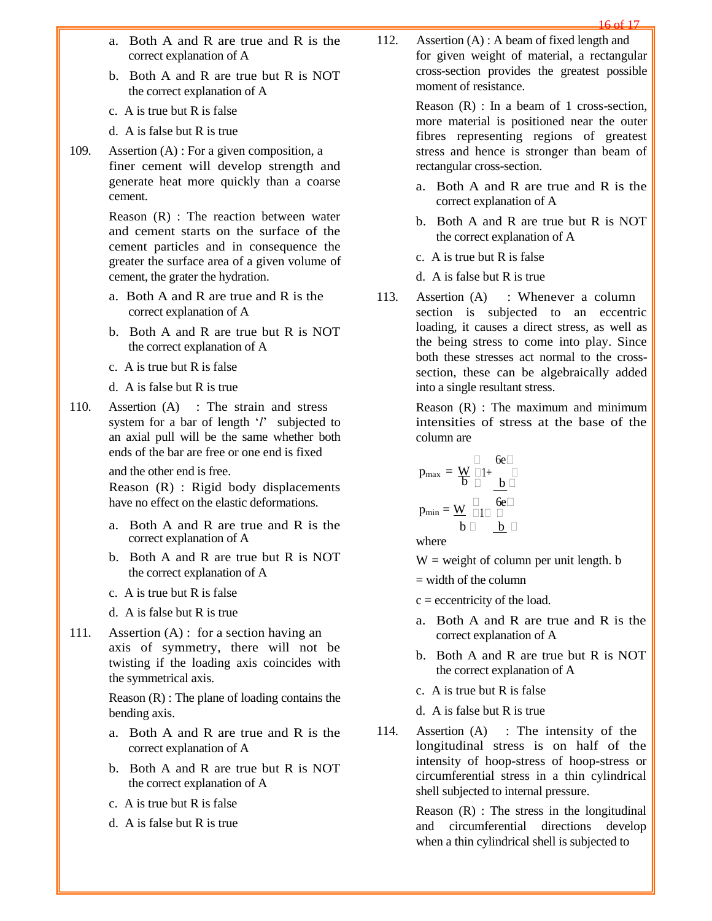- a. Both A and R are true and R is the correct explanation of A
- b. Both A and R are true but R is NOT the correct explanation of A
- c. A is true but R is false
- d. A is false but R is true
- 109. Assertion (A) : For a given composition, a finer cement will develop strength and generate heat more quickly than a coarse cement.

Reason (R) : The reaction between water and cement starts on the surface of the cement particles and in consequence the greater the surface area of a given volume of cement, the grater the hydration.

- a. Both A and R are true and R is the correct explanation of A
- b. Both A and R are true but R is NOT the correct explanation of A
- c. A is true but R is false
- d. A is false but R is true
- 110. Assertion (A) : The strain and stress system for a bar of length '*l*' subjected to an axial pull will be the same whether both ends of the bar are free or one end is fixed

and the other end is free.

Reason (R) : Rigid body displacements have no effect on the elastic deformations.

- a. Both A and R are true and R is the correct explanation of A
- b. Both A and R are true but R is NOT the correct explanation of A
- c. A is true but R is false
- d. A is false but R is true
- 111. Assertion (A) : for a section having an axis of symmetry, there will not be twisting if the loading axis coincides with the symmetrical axis.

Reason (R) : The plane of loading contains the bending axis.

- a. Both A and R are true and R is the correct explanation of A
- b. Both A and R are true but R is NOT the correct explanation of A
- c. A is true but R is false
- d. A is false but R is true

112. Assertion (A) : A beam of fixed length and for given weight of material, a rectangular cross-section provides the greatest possible moment of resistance.

> Reason  $(R)$ : In a beam of 1 cross-section, more material is positioned near the outer fibres representing regions of greatest stress and hence is stronger than beam of rectangular cross-section.

- a. Both A and R are true and R is the correct explanation of A
- b. Both A and R are true but R is NOT the correct explanation of A
- c. A is true but R is false
- d. A is false but R is true
- 113. Assertion (A) : Whenever a column section is subjected to an eccentric loading, it causes a direct stress, as well as the being stress to come into play. Since both these stresses act normal to the crosssection, these can be algebraically added into a single resultant stress.

Reason (R) : The maximum and minimum intensities of stress at the base of the column are

$$
p_{max} = \underbrace{W}_{b} \underset{\square}{\square} 1 + \underbrace{\square}_{b} \underset{\square}{\square}
$$
\n
$$
p_{min} = \underbrace{W}_{b} \underset{\square}{\square} \underset{\square}{\square} \underset{\square}{\square}
$$

where

 $W =$  weight of column per unit length. b

 $=$  width of the column

- $c =$  eccentricity of the load.
- a. Both A and R are true and R is the correct explanation of A
- b. Both A and R are true but R is NOT the correct explanation of A
- c. A is true but R is false
- d. A is false but R is true
- 114. Assertion (A) : The intensity of the longitudinal stress is on half of the intensity of hoop-stress of hoop-stress or circumferential stress in a thin cylindrical shell subjected to internal pressure.

Reason (R) : The stress in the longitudinal and circumferential directions develop when a thin cylindrical shell is subjected to